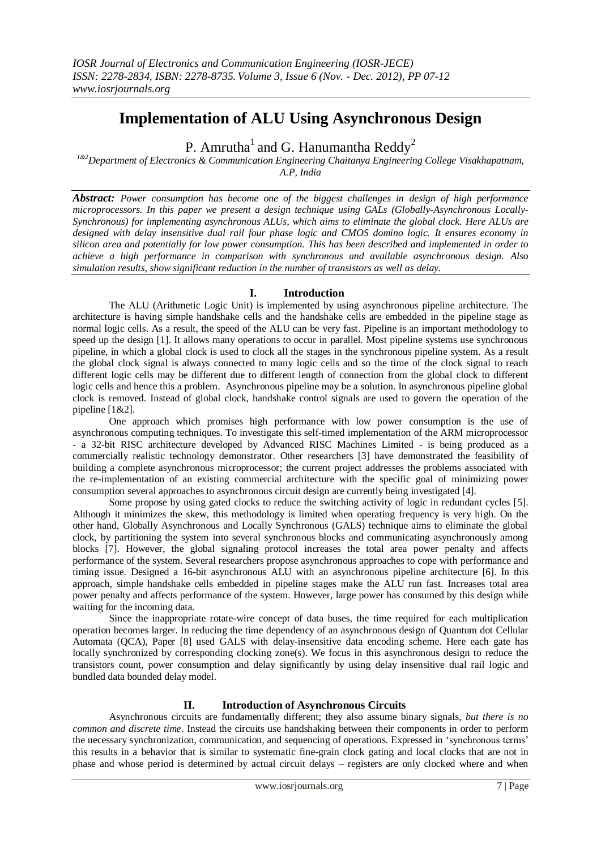# **Implementation of ALU Using Asynchronous Design**

P. Amrutha $^{\rm l}$  and G. Hanumantha Reddy $^{\rm 2}$ 

*1&2Department of Electronics & Communication Engineering Chaitanya Engineering College Visakhapatnam, A.P, India*

*Abstract: Power consumption has become one of the biggest challenges in design of high performance microprocessors. In this paper we present a design technique using GALs (Globally-Asynchronous Locally-Synchronous) for implementing asynchronous ALUs, which aims to eliminate the global clock. Here ALUs are designed with delay insensitive dual rail four phase logic and CMOS domino logic. It ensures economy in silicon area and potentially for low power consumption. This has been described and implemented in order to achieve a high performance in comparison with synchronous and available asynchronous design. Also simulation results, show significant reduction in the number of transistors as well as delay.*

# **I. Introduction**

The ALU (Arithmetic Logic Unit) is implemented by using asynchronous pipeline architecture. The architecture is having simple handshake cells and the handshake cells are embedded in the pipeline stage as normal logic cells. As a result, the speed of the ALU can be very fast. Pipeline is an important methodology to speed up the design [1]. It allows many operations to occur in parallel. Most pipeline systems use synchronous pipeline, in which a global clock is used to clock all the stages in the synchronous pipeline system. As a result the global clock signal is always connected to many logic cells and so the time of the clock signal to reach different logic cells may be different due to different length of connection from the global clock to different logic cells and hence this a problem. Asynchronous pipeline may be a solution. In asynchronous pipeline global clock is removed. Instead of global clock, handshake control signals are used to govern the operation of the pipeline [1&2].

One approach which promises high performance with low power consumption is the use of asynchronous computing techniques. To investigate this self-timed implementation of the ARM microprocessor - a 32-bit RISC architecture developed by Advanced RISC Machines Limited - is being produced as a commercially realistic technology demonstrator. Other researchers [3] have demonstrated the feasibility of building a complete asynchronous microprocessor; the current project addresses the problems associated with the re-implementation of an existing commercial architecture with the specific goal of minimizing power consumption several approaches to asynchronous circuit design are currently being investigated [4].

Some propose by using gated clocks to reduce the switching activity of logic in redundant cycles [5]. Although it minimizes the skew, this methodology is limited when operating frequency is very high. On the other hand, Globally Asynchronous and Locally Synchronous (GALS) technique aims to eliminate the global clock, by partitioning the system into several synchronous blocks and communicating asynchronously among blocks [7]. However, the global signaling protocol increases the total area power penalty and affects performance of the system. Several researchers propose asynchronous approaches to cope with performance and timing issue. Designed a 16-bit asynchronous ALU with an asynchronous pipeline architecture [6]. In this approach, simple handshake cells embedded in pipeline stages make the ALU run fast. Increases total area power penalty and affects performance of the system. However, large power has consumed by this design while waiting for the incoming data.

Since the inappropriate rotate-wire concept of data buses, the time required for each multiplication operation becomes larger. In reducing the time dependency of an asynchronous design of Quantum dot Cellular Automata (QCA), Paper [8] used GALS with delay-insensitive data encoding scheme. Here each gate has locally synchronized by corresponding clocking zone(s). We focus in this asynchronous design to reduce the transistors count, power consumption and delay significantly by using delay insensitive dual rail logic and bundled data bounded delay model.

## **II. Introduction of Asynchronous Circuits**

Asynchronous circuits are fundamentally different; they also assume binary signals, *but there is no common and discrete time*. Instead the circuits use handshaking between their components in order to perform the necessary synchronization, communication, and sequencing of operations. Expressed in "synchronous terms" this results in a behavior that is similar to systematic fine-grain clock gating and local clocks that are not in phase and whose period is determined by actual circuit delays – registers are only clocked where and when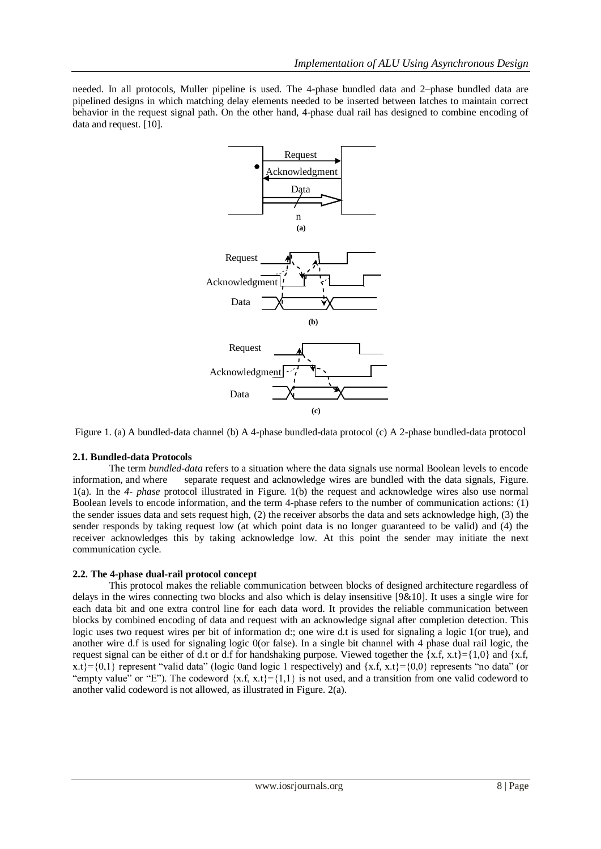needed. In all protocols, Muller pipeline is used. The 4-phase bundled data and 2–phase bundled data are pipelined designs in which matching delay elements needed to be inserted between latches to maintain correct behavior in the request signal path. On the other hand, 4-phase dual rail has designed to combine encoding of data and request. [10].



Figure 1. (a) A bundled-data channel (b) A 4-phase bundled-data protocol (c) A 2-phase bundled-data protocol

#### **2.1. Bundled-data Protocols**

The term *bundled-data* refers to a situation where the data signals use normal Boolean levels to encode information, and where separate request and acknowledge wires are bundled with the data signals, Figure. 1(a). In the *4- phase* protocol illustrated in Figure. 1(b) the request and acknowledge wires also use normal Boolean levels to encode information, and the term 4-phase refers to the number of communication actions: (1) the sender issues data and sets request high, (2) the receiver absorbs the data and sets acknowledge high, (3) the sender responds by taking request low (at which point data is no longer guaranteed to be valid) and (4) the receiver acknowledges this by taking acknowledge low. At this point the sender may initiate the next communication cycle.

#### **2.2. The 4-phase dual-rail protocol concept**

This protocol makes the reliable communication between blocks of designed architecture regardless of delays in the wires connecting two blocks and also which is delay insensitive [9&10]. It uses a single wire for each data bit and one extra control line for each data word. It provides the reliable communication between blocks by combined encoding of data and request with an acknowledge signal after completion detection. This logic uses two request wires per bit of information d:; one wire d.t is used for signaling a logic 1(or true), and another wire d.f is used for signaling logic 0(or false). In a single bit channel with 4 phase dual rail logic, the request signal can be either of d.t or d.f for handshaking purpose. Viewed together the  $\{x.f, x.t\} = \{1,0\}$  and  $\{x.f, x.t\}$  $x.t.$ }={0,1} represent "valid data" (logic 0and logic 1 respectively) and {x.f, x.t}={0,0} represents "no data" (or "empty value" or "E"). The codeword  $\{x.f, x.t\} = \{1,1\}$  is not used, and a transition from one valid codeword to another valid codeword is not allowed, as illustrated in Figure. 2(a).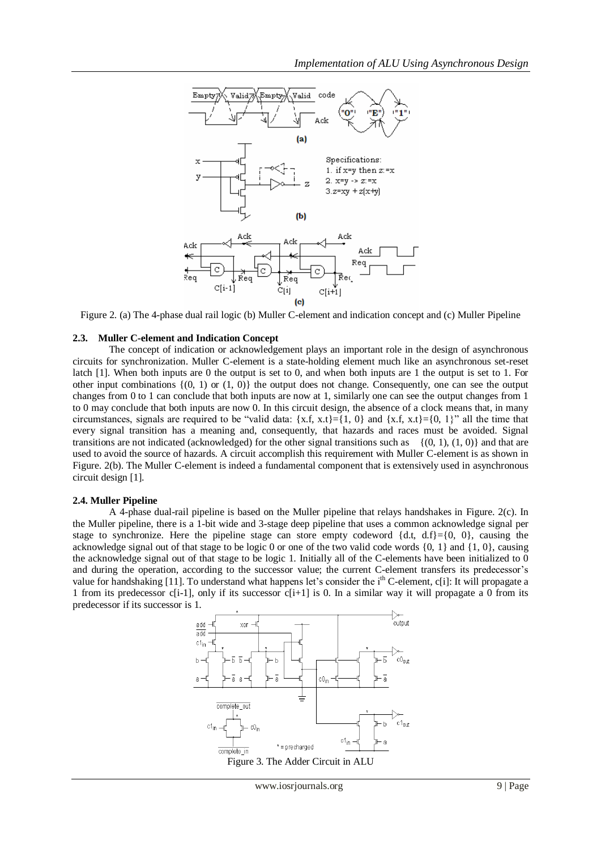

Figure 2. (a) The 4-phase dual rail logic (b) Muller C-element and indication concept and (c) Muller Pipeline

#### **2.3. Muller C-element and Indication Concept**

The concept of indication or acknowledgement plays an important role in the design of asynchronous circuits for synchronization. Muller C-element is a state-holding element much like an asynchronous set-reset latch [1]. When both inputs are 0 the output is set to 0, and when both inputs are 1 the output is set to 1. For other input combinations  $\{(0, 1)$  or  $(1, 0)\}$  the output does not change. Consequently, one can see the output changes from 0 to 1 can conclude that both inputs are now at 1, similarly one can see the output changes from 1 to 0 may conclude that both inputs are now 0. In this circuit design, the absence of a clock means that, in many circumstances, signals are required to be "valid data:  $\{x.f, x.t\} = \{1, 0\}$  and  $\{x.f, x.t\} = \{0, 1\}$ " all the time that every signal transition has a meaning and, consequently, that hazards and races must be avoided. Signal transitions are not indicated (acknowledged) for the other signal transitions such as  $\{(0, 1), (1, 0)\}\$  and that are used to avoid the source of hazards. A circuit accomplish this requirement with Muller C-element is as shown in Figure. 2(b). The Muller C-element is indeed a fundamental component that is extensively used in asynchronous circuit design [1].

#### **2.4. Muller Pipeline**

A 4-phase dual-rail pipeline is based on the Muller pipeline that relays handshakes in Figure. 2(c). In the Muller pipeline, there is a 1-bit wide and 3-stage deep pipeline that uses a common acknowledge signal per stage to synchronize. Here the pipeline stage can store empty codeword  $\{d,t, d.f\} = \{0, 0\}$ , causing the acknowledge signal out of that stage to be logic 0 or one of the two valid code words {0, 1} and {1, 0}, causing the acknowledge signal out of that stage to be logic 1. Initially all of the C-elements have been initialized to  $\overline{0}$ and during the operation, according to the successor value; the current C-element transfers its predecessor"s value for handshaking [11]. To understand what happens let's consider the i<sup>th</sup> C-element, c[i]: It will propagate a 1 from its predecessor c[i-1], only if its successor c[i+1] is 0. In a similar way it will propagate a 0 from its predecessor if its successor is 1.

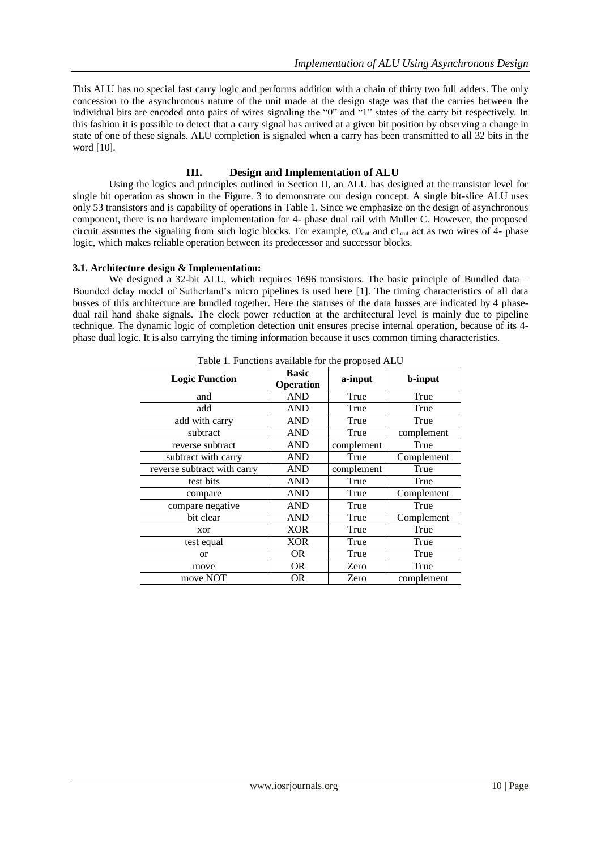This ALU has no special fast carry logic and performs addition with a chain of thirty two full adders. The only concession to the asynchronous nature of the unit made at the design stage was that the carries between the individual bits are encoded onto pairs of wires signaling the "0" and "1" states of the carry bit respectively. In this fashion it is possible to detect that a carry signal has arrived at a given bit position by observing a change in state of one of these signals. ALU completion is signaled when a carry has been transmitted to all 32 bits in the word [10].

## **III. Design and Implementation of ALU**

Using the logics and principles outlined in Section II, an ALU has designed at the transistor level for single bit operation as shown in the Figure. 3 to demonstrate our design concept. A single bit-slice ALU uses only 53 transistors and is capability of operations in Table 1. Since we emphasize on the design of asynchronous component, there is no hardware implementation for 4- phase dual rail with Muller C. However, the proposed circuit assumes the signaling from such logic blocks. For example,  $c0_{out}$  and  $c1_{out}$  act as two wires of 4- phase logic, which makes reliable operation between its predecessor and successor blocks.

#### **3.1. Architecture design & Implementation:**

We designed a 32-bit ALU, which requires 1696 transistors. The basic principle of Bundled data – Bounded delay model of Sutherland"s micro pipelines is used here [1]. The timing characteristics of all data busses of this architecture are bundled together. Here the statuses of the data busses are indicated by 4 phasedual rail hand shake signals. The clock power reduction at the architectural level is mainly due to pipeline technique. The dynamic logic of completion detection unit ensures precise internal operation, because of its 4 phase dual logic. It is also carrying the timing information because it uses common timing characteristics.

| <b>Logic Function</b>       | <b>Basic</b><br>Operation | --- r- -r -- <i>- - -</i> -<br>a-input | <b>b-input</b> |
|-----------------------------|---------------------------|----------------------------------------|----------------|
| and                         | <b>AND</b>                | True                                   | True           |
| add                         | <b>AND</b>                | True                                   | True           |
| add with carry              | <b>AND</b>                | True                                   | True           |
| subtract                    | <b>AND</b>                | True                                   | complement     |
| reverse subtract            | <b>AND</b>                | complement                             | True           |
| subtract with carry         | <b>AND</b>                | True                                   | Complement     |
| reverse subtract with carry | <b>AND</b>                | complement                             | True           |
| test bits                   | <b>AND</b>                | True                                   | True           |
| compare                     | <b>AND</b>                | True                                   | Complement     |
| compare negative            | <b>AND</b>                | True                                   | True           |
| bit clear                   | <b>AND</b>                | True                                   | Complement     |
| xor                         | <b>XOR</b>                | True                                   | True           |
| test equal                  | <b>XOR</b>                | True                                   | True           |
| <b>or</b>                   | <b>OR</b>                 | True                                   | True           |
| move                        | <b>OR</b>                 | Zero                                   | True           |
| move NOT                    | <b>OR</b>                 | Zero                                   | complement     |

Table 1. Functions available for the proposed ALU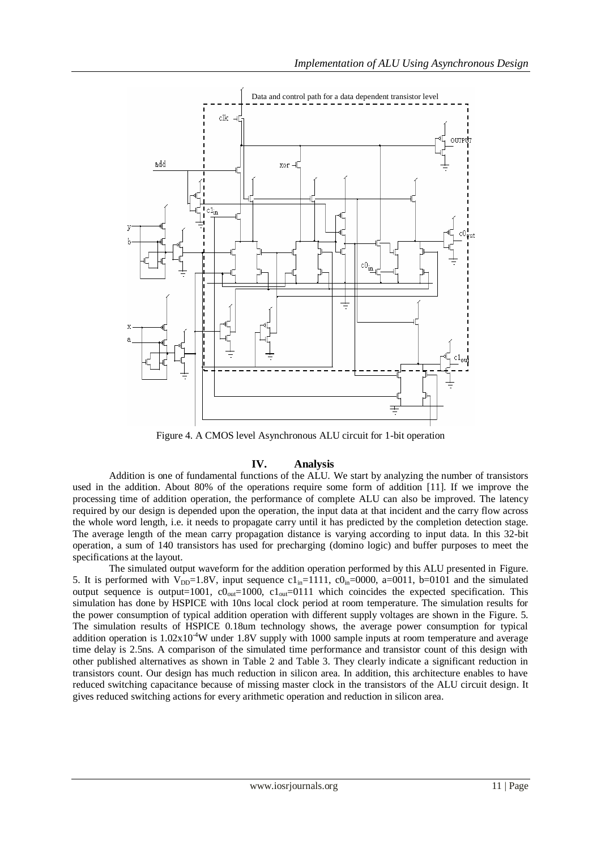

Figure 4. A CMOS level Asynchronous ALU circuit for 1-bit operation

# **IV. Analysis**

Addition is one of fundamental functions of the ALU. We start by analyzing the number of transistors used in the addition. About 80% of the operations require some form of addition [11]. If we improve the processing time of addition operation, the performance of complete ALU can also be improved. The latency required by our design is depended upon the operation, the input data at that incident and the carry flow across the whole word length, i.e. it needs to propagate carry until it has predicted by the completion detection stage. The average length of the mean carry propagation distance is varying according to input data. In this 32-bit operation, a sum of 140 transistors has used for precharging (domino logic) and buffer purposes to meet the specifications at the layout.

The simulated output waveform for the addition operation performed by this ALU presented in Figure. 5. It is performed with  $V_{DD}=1.8V$ , input sequence  $c1_{in}=1111$ ,  $c0_{in}=0000$ , a=0011, b=0101 and the simulated output sequence is output=1001,  $c0_{out}=1000$ ,  $c1_{out}=0111$  which coincides the expected specification. This simulation has done by HSPICE with 10ns local clock period at room temperature. The simulation results for the power consumption of typical addition operation with different supply voltages are shown in the Figure. 5. The simulation results of HSPICE 0.18um technology shows, the average power consumption for typical addition operation is  $1.02x10^{4}$ W under 1.8V supply with 1000 sample inputs at room temperature and average time delay is 2.5ns. A comparison of the simulated time performance and transistor count of this design with other published alternatives as shown in Table 2 and Table 3. They clearly indicate a significant reduction in transistors count. Our design has much reduction in silicon area. In addition, this architecture enables to have reduced switching capacitance because of missing master clock in the transistors of the ALU circuit design. It gives reduced switching actions for every arithmetic operation and reduction in silicon area.